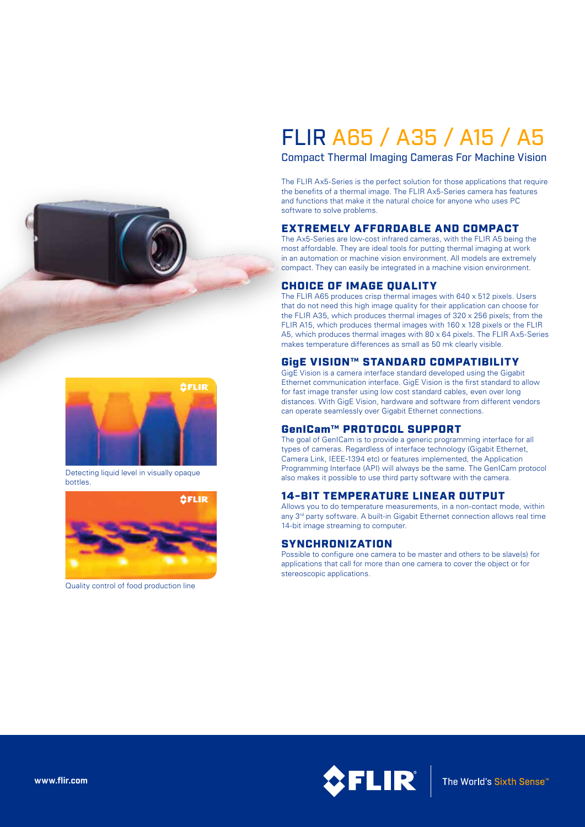

# FLIR A65 / A35 / A15 / A5

Compact Thermal Imaging Cameras For Machine Vision

The FLIR Ax5-Series is the perfect solution for those applications that require the benefits of a thermal image. The FLIR Ax5-Series camera has features and functions that make it the natural choice for anyone who uses PC software to solve problems.

#### EXTREMELY AFFORDABLE AND COMPACT

The Ax5-Series are low-cost infrared cameras, with the FLIR A5 being the most affordable. They are ideal tools for putting thermal imaging at work in an automation or machine vision environment. All models are extremely compact. They can easily be integrated in a machine vision environment.

## CHOICE OF IMAGE QUALITY

The FLIR A65 produces crisp thermal images with 640 x 512 pixels. Users that do not need this high image quality for their application can choose for the FLIR A35, which produces thermal images of 320 x 256 pixels; from the FLIR A15, which produces thermal images with 160 x 128 pixels or the FLIR A5, which produces thermal images with 80 x 64 pixels. The FLIR Ax5-Series makes temperature differences as small as 50 mk clearly visible.

## GigE VISION™ STANDARD COMPATIBILITY

GigE Vision is a camera interface standard developed using the Gigabit Ethernet communication interface. GigE Vision is the first standard to allow for fast image transfer using low cost standard cables, even over long distances. With GigE Vision, hardware and software from different vendors can operate seamlessly over Gigabit Ethernet connections.

#### GenICam™ PROTOCOL SUPPORT

The goal of GenICam is to provide a generic programming interface for all types of cameras. Regardless of interface technology (Gigabit Ethernet, Camera Link, IEEE-1394 etc) or features implemented, the Application Programming Interface (API) will always be the same. The GenICam protocol also makes it possible to use third party software with the camera.

## 14-BIT TEMPERATURE LINEAR OUTPUT

Allows you to do temperature measurements, in a non-contact mode, within any 3<sup>rd</sup> party software. A built-in Gigabit Ethernet connection allows real time 14-bit image streaming to computer.

## **SYNCHRONIZATION**

Possible to configure one camera to be master and others to be slave(s) for applications that call for more than one camera to cover the object or for stereoscopic applications.



Detecting liquid level in visually opaque bottles.



Quality control of food production line